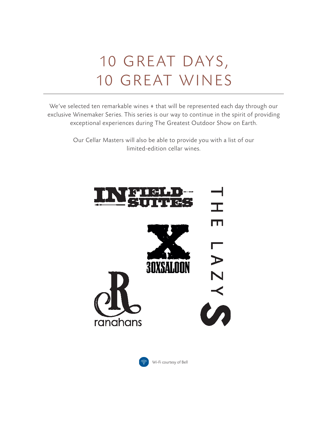# 10 GREAT DAYS, 10 GREAT WINES

We've selected ten remarkable wines  $*$  that will be represented each day through our exclusive Winemaker Series. This series is our way to continue in the spirit of providing exceptional experiences during The Greatest Outdoor Show on Earth.

> Our Cellar Masters will also be able to provide you with a list of our limited-edition cellar wines.



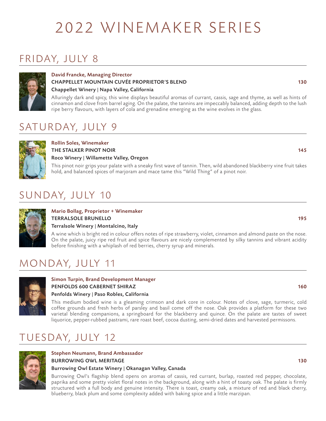# 2022 WINEMAKER SERIES

## FRIDAY, JULY 8



### David Francke, Managing Director CHAPPELLET MOUNTAIN CUVÉE PROPRIETOR'S BLEND 130 Chappellet Winery | Napa Valley, California

Alluringly dark and spicy, this wine displays beautiful aromas of currant, cassis, sage and thyme, as well as hints of cinnamon and clove from barrel aging. On the palate, the tannins are impeccably balanced, adding depth to the lush ripe berry flavours, with layers of cola and grenadine emerging as the wine evolves in the glass.

## SATURDAY, JULY 9



### Rollin Soles, Winemaker THE STALKER PINOT NOIR **145** Roco Winery | Willamette Valley, Oregon

This pinot noir grips your palate with a sneaky first wave of tannin. Then, wild abandoned blackberry vine fruit takes hold, and balanced spices of marjoram and mace tame this "Wild Thing" of a pinot noir.

## SUNDAY, JULY 10



### Mario Bollag, Proprietor + Winemaker TERRALSOLE BRUNELLO 195

### Terralsole Winery | Montalcino, Italy

A wine which is bright red in colour offers notes of ripe strawberry, violet, cinnamon and almond paste on the nose. On the palate, juicy ripe red fruit and spice flavours are nicely complemented by silky tannins and vibrant acidity before finishing with a whiplash of red berries, cherry syrup and minerals.

## MONDAY, JULY 11



### Simon Turpin, Brand Development Manager PENFOLDS 600 CABERNET SHIRAZ 160 Penfolds Winery | Paso Robles, California

This medium bodied wine is a gleaming crimson and dark core in colour. Notes of clove, sage, turmeric, cold coffee grounds and fresh herbs of parsley and basil come off the nose. Oak provides a platform for these two varietal blending companions, a springboard for the blackberry and quince. On the palate are tastes of sweet liquorice, pepper-rubbed pastrami, rare roast beef, cocoa dusting, semi-dried dates and harvested permissons.

## TUESDAY, JULY 12



### Stephen Neumann, Brand Ambassador BURROWING OWL MERITAGE 130 Burrowing Owl Estate Winery | Okanagan Valley, Canada

Burrowing Owl's flagship blend opens on aromas of cassis, red currant, burlap, roasted red pepper, chocolate, paprika and some pretty violet floral notes in the background, along with a hint of toasty oak. The palate is firmly structured with a full body and genuine intensity. There is toast, creamy oak, a mixture of red and black cherry, blueberry, black plum and some complexity added with baking spice and a little marzipan.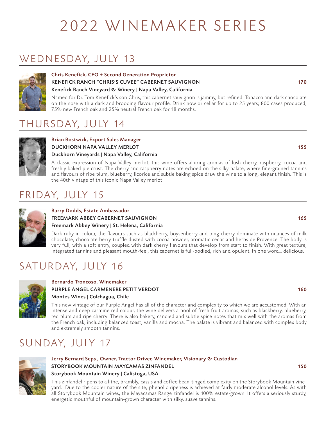# 2022 WINEMAKER SERIES

## WEDNESDAY, JULY 13



### Chris Kenefick, CEO + Second Generation Proprietor KENEFICK RANCH "CHRIS'S CUVEE" CABERNET SAUVIGNON 170 Kenefick Ranch Vineyard & Winery | Napa Valley, California

Named for Dr. Tom Kenefick's son Chris, this cabernet sauvignon is jammy, but refined. Tobacco and dark chocolate on the nose with a dark and brooding flavour profile. Drink now or cellar for up to 25 years; 800 cases produced; 75% new French oak and 25% neutral French oak for 18 months.

## THURSDAY, JULY 14



### Brian Bostwick, Export Sales Manager DUCKHORN NAPA VALLEY MERLOT 155 Duckhorn Vineyards | Napa Valley, California

A classic expression of Napa Valley merlot, this wine offers alluring aromas of lush cherry, raspberry, cocoa and freshly baked pie crust. The cherry and raspberry notes are echoed on the silky palate, where fine-grained tannins and flavours of ripe plum, blueberry, licorice and subtle baking spice draw the wine to a long, elegant finish. This is the 40th vintage of this iconic Napa Valley merlot!

## FRIDAY, JULY 15



### Barry Dodds, Estate Ambassador FREEMARK ABBEY CABERNET SAUVIGNON 165

### Freemark Abbey Winery | St. Helena, California

Dark ruby in colour, the flavours such as blackberry, boysenberry and bing cherry dominate with nuances of milk chocolate, chocolate berry truffle dusted with cocoa powder, aromatic cedar and herbs de Provence. The body is very full, with a soft entry, coupled with dark cherry flavours that develop from start to finish. With great texture, integrated tannins and pleasant mouth-feel, this cabernet is full-bodied, rich and opulent. In one word… delicious.

## SATURDAY, JULY 16



### Bernardo Troncoso, Winemaker PURPLE ANGEL CARMENERE PETIT VERDOT **160** and 160 minutes and 160 minutes of the 160 minutes of the 160 minutes of the 160 minutes of the 160 minutes of the 160 minutes of the 160 minutes of the 160 minutes of the 160 minu Montes Wines | Colchagua, Chile

This new vintage of our Purple Angel has all of the character and complexity to which we are accustomed. With an intense and deep carmine red colour, the wine delivers a pool of fresh fruit aromas, such as blackberry, blueberry, red plum and ripe cherry. There is also bakery, candied and subtle spice notes that mix well with the aromas from the French oak, including balanced toast, vanilla and mocha. The palate is vibrant and balanced with complex body and extremely smooth tannins.

## SUNDAY, JULY 17



### Jerry Bernard Seps, Owner, Tractor Driver, Winemaker, Visionary & Custodian STORYBOOK MOUNTAIN MAYCAMAS ZINFANDEL 150

### Storybook Mountain Winery | Calistoga, USA

This zinfandel ripens to a lithe, brambly, cassis and coffee bean-tinged complexity on the Storybook Mountain vineyard. Due to the cooler nature of the site, phenolic ripeness is achieved at fairly moderate alcohol levels. As with all Storybook Mountain wines, the Mayacamas Range zinfandel is 100% estate-grown. It offers a seriously sturdy, energetic mouthful of mountain-grown character with silky, suave tannins.

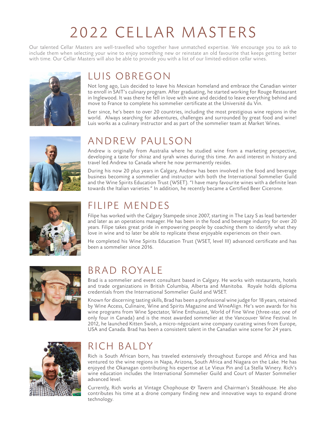# 2022 CELLAR MASTERS

Our talented Cellar Masters are well-travelled who together have unmatched expertise. We encourage you to ask to include them when selecting your wine to enjoy something new or reinstate an old favourite that keeps getting better with time. Our Cellar Masters will also be able to provide you with a list of our limited-edition cellar wines.



### LUIS OBREGON

Not long ago, Luis decided to leave his Mexican homeland and embrace the Canadian winter to enroll in SAIT's culinary program. After graduating, he started working for Rouge Restaurant in Inglewood. It was there he fell in love with wine and decided to leave everything behind and move to France to complete his sommelier certificate at the Université du Vin.

Ever since, he's been to over 20 countries, including the most prestigious wine regions in the world. Always searching for adventures, challenges and surrounded by great food and wine! Luis works as a culinary instructor and as part of the sommelier team at Market Wines.



### ANDREW PAULSON

Andrew is originally from Australia where he studied wine from a marketing perspective, developing a taste for shiraz and syrah wines during this time. An avid interest in history and travel led Andrew to Canada where he now permanently resides.

During his now 20 plus years in Calgary, Andrew has been involved in the food and beverage business becoming a sommelier and instructor with both the International Sommelier Guild and the Wine Spirits Education Trust (WSET). "I have many favourite wines with a definite lean towards the Italian varieties." In addition, he recently became a Certified Beer Cicerone.



### FILIPE MENDES

Filipe has worked with the Calgary Stampede since 2007, starting in The Lazy S as lead bartender and later as an operations manager. He has been in the food and beverage industry for over 20 years. Filipe takes great pride in empowering people by coaching them to identify what they love in wine and to later be able to replicate these enjoyable experiences on their own.

He completed his Wine Spirits Education Trust (WSET, level III) advanced certificate and has been a sommelier since 2016.



### BRAD ROYALE

Brad is a sommelier and event consultant based in Calgary. He works with restaurants, hotels and trade organizations in British Columbia, Alberta and Manitoba. Royale holds diploma credentials from the International Sommelier Guild and WSET.

Known for discerning tasting skills, Brad has been a professional wine judge for 18 years, retained by Wine Access, Culinaire, Wine and Spirits Magazine and WineAlign. He's won awards for his wine programs from Wine Spectator, Wine Enthusiast, World of Fine Wine (three-star, one of only four in Canada) and is the most awarded sommelier at the Vancouver Wine Festival. In 2012, he launched Kitten Swish, a micro-négociant wine company curating wines from Europe, USA and Canada. Brad has been a consistent talent in the Canadian wine scene for 24 years.



### RICH BALDY

Rich is South African born, has traveled extensively throughout Europe and Africa and has ventured to the wine regions in Napa, Arizona, South Africa and Niagara on the Lake. He has enjoyed the Okanagan contributing his expertise at Le Vieux Pin and La Stella Winery. Rich's wine education includes the International Sommelier Guild and Court of Master Sommelier advanced level.

Currently, Rich works at Vintage Chophouse  $\mathfrak C$  Tavern and Chairman's Steakhouse. He also contributes his time at a drone company finding new and innovative ways to expand drone technology.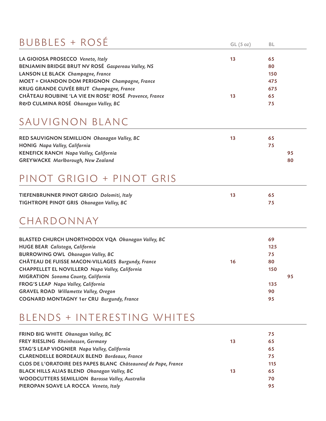## BUBBLES + ROSÉ

| LA GIOIOSA PROSECCO Veneto, Italy                      | 13 | 65  |
|--------------------------------------------------------|----|-----|
| BENJAMIN BRIDGE BRUT NV ROSÉ Gaspereau Valley, NS      |    | 80  |
| LANSON LE BLACK Champagne, France                      |    | 150 |
| MOET + CHANDON DOM PERIGNON Champagne, France          |    | 475 |
| KRUG GRANDE CUVÉE BRUT Champagne, France               |    | 675 |
| CHÂTEAU ROUBINE 'LA VIE EN ROSE' ROSÉ Provence, France | 13 | 65  |
| R&D CULMINA ROSÉ Okanagan Valley, BC                   |    | 75  |

 $GL(5 oz)$  BL

### SAUVIGNON BLANC

| RED SAUVIGNON SEMILLION Okanagan Valley, BC   | 13 | 65 |    |
|-----------------------------------------------|----|----|----|
| <b>HONIG Napa Valley, California</b>          |    | 75 |    |
| <b>KENEFICK RANCH Napa Valley, California</b> |    |    | 95 |
| <b>GREYWACKE</b> Marlborough, New Zealand     |    |    | 80 |

## PINOT GRIGIO + PINOT GRIS

| TIEFENBRUNNER PINOT GRIGIO Dolomiti, Italy |  |
|--------------------------------------------|--|
| TIGHTROPE PINOT GRIS Okanagan Valley, BC   |  |

### CHARDONNAY

| BLASTED CHURCH UNORTHODOX VQA Okanagan Valley, BC |    | 69  |
|---------------------------------------------------|----|-----|
| HUGE BEAR Calistoga, California                   |    | 125 |
| <b>BURROWING OWL Okanagan Valley, BC</b>          |    | 75  |
| CHÂTEAU DE FUISSE MACON-VILLAGES Burgundy, France | 16 | 80  |
| CHAPPELLET EL NOVILLERO Napa Valley, California   |    | 150 |
| MIGRATION Sonoma County, California               |    | 95  |
| FROG'S LEAP Napa Valley, California               |    | 135 |
| <b>GRAVEL ROAD Willamette Valley, Oregon</b>      |    | 90  |
| <b>COGNARD MONTAGNY 1er CRU Burgundy, France</b>  |    | 95  |

## BLENDS + INTERESTING WHITES

| FRIND BIG WHITE Okanagan Valley, BC                            |    | 75  |
|----------------------------------------------------------------|----|-----|
| FREY RIESLING Rheinhessen, Germany                             | 13 | 65  |
| STAG'S LEAP VIOGNIER Napa Valley, California                   |    | 65  |
| <b>CLARENDELLE BORDEAUX BLEND Bordeaux, France</b>             |    | 75  |
| CLOS DE L'ORATOIRE DES PAPES BLANC Châteauneuf de Pape, France |    | 115 |
| BLACK HILLS ALIAS BLEND Okanagan Valley, BC                    | 13 | 65  |
| WOODCUTTERS SEMILLION Barossa Valley, Australia                |    | 70  |
| PIEROPAN SOAVE LA ROCCA Veneto, Italy                          |    | 95  |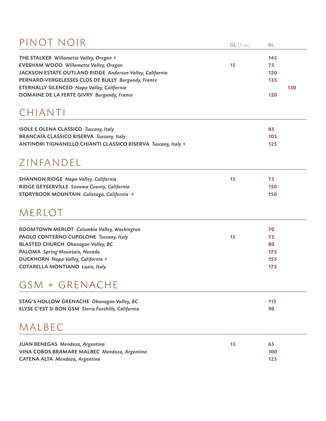## PINOT NOIR

| PINOT NOIR                                                    | GL(5 oz) | BL  |     |
|---------------------------------------------------------------|----------|-----|-----|
| THE STALKER Willamette Valley, Oregon ♦                       |          | 145 |     |
| EVESHAM WOOD Willamette Valley, Oregon                        | 15       | 75  |     |
| JACKSON ESTATE OUTLAND RIDGE Anderson Valley, California      |          | 120 |     |
| PERNARD-VERGELESSES CLOS DE BULLY Burgundy, France            |          | 135 |     |
| ETERNALLY SILENCED Napa Valley, California                    |          |     | 130 |
| DOMAINE DE LA FERTE GIVRY Burgundy, France                    |          | 120 |     |
| CHIANTI                                                       |          |     |     |
| <b>ISOLE E OLENA CLASSICO Tuscany, Italy</b>                  |          | 85  |     |
| <b>BRANCAIA CLASSICO RISERVA Tuscany, Italy</b>               |          | 105 |     |
| ANTINORI TIGNANELLO CHIANTI CLASSICO RISERVA Tuscany, Italy + |          | 125 |     |
| ZINFANDEL                                                     |          |     |     |
| <b>SHANNON RIDGE Napa Valley, California</b>                  | 15       | 75  |     |
| RIDGE GEYSERVILLE Sonoma County, California                   |          | 150 |     |
| STORYBOOK MOUNTAIN Calistoga, California +                    |          | 150 |     |
| MERLOT                                                        |          |     |     |
| <b>BOOMTOWN MERLOT Columbia Valley, Washington</b>            |          | 70  |     |
| PAOLO CONTERNO CUPOLONE Tuscany, Italy                        | 15       | 75  |     |
| <b>BLASTED CHURCH Okanagan Valley, BC</b>                     |          | 80  |     |
| PALOMA Spring Mountain, Nevada                                |          | 175 |     |
| DUCKHORN Napa Valley, California +                            |          | 155 |     |
| <b>COTARELLA MONTIANO Lazio, Italy</b>                        |          | 175 |     |
| GSM + GRENACHE                                                |          |     |     |
| STAG'S HOLLOW GRENACHE Okanagan Valley, BC                    |          | 115 |     |
| ELYSE C'EST SI BON GSM Sierra Foothills, California           |          | 90  |     |
| MALBEC                                                        |          |     |     |
|                                                               |          |     |     |

| JUAN BENEGAS Mendoza, Argentina              | 65  |
|----------------------------------------------|-----|
| VINA COBOS BRAMARE MALBEC Mendoza, Argentina | 100 |
| CATENA ALTA Mendoza, Argentina               | 125 |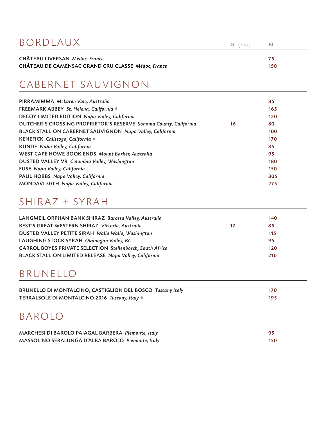| BORDEAUX                                                                                    | GL(5oz) | – BL      |
|---------------------------------------------------------------------------------------------|---------|-----------|
| <b>CHÂTEAU LIVERSAN Médoc, France</b><br>CHÂTEAU DE CAMENSAC GRAND CRU CLASSE Médoc, France |         | 75<br>150 |

## CABERNET SAUVIGNON

|    | 85  |
|----|-----|
|    | 165 |
|    | 120 |
| 16 | 80  |
|    | 100 |
|    | 170 |
|    | 85  |
|    | 95  |
|    | 180 |
|    | 150 |
|    | 305 |
|    | 275 |
|    |     |

### SHIRAZ + SYRAH

| LANGMEIL ORPHAN BANK SHIRAZ Barossa Valley, Australia            |    | 140 |
|------------------------------------------------------------------|----|-----|
| BEST'S GREAT WESTERN SHIRAZ Victoria, Australia                  | 17 | 85  |
| DUSTED VALLEY PETITE SIRAH Walla Walla, Washington               |    | 115 |
| LAUGHING STOCK SYRAH Okanagan Valley, BC                         |    | 95  |
| <b>CARROL BOYES PRIVATE SELECTION Stellenbosch, South Africa</b> |    | 120 |
| <b>BLACK STALLION LIMITED RELEASE Napa Valley, California</b>    |    | 210 |
|                                                                  |    |     |

### BRUNELLO

| BRUNELLO DI MONTALCINO, CASTIGLION DEL BOSCO Tuscany Italy | 170 |
|------------------------------------------------------------|-----|
| TERRALSOLE DI MONTALCINO 2016 Tuscany, Italy               | 195 |

### BAROLO

| MARCHESI DI BAROLO PAIAGAL BARBERA Piemonte, Italy |     |
|----------------------------------------------------|-----|
| MASSOLINO SERALUNGA D'ALBA BAROLO Piemonte, Italy  | 150 |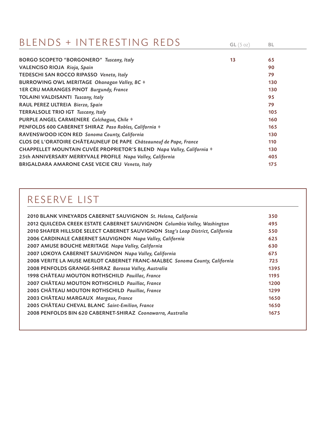### BLENDS + INTERESTING REDS

| <b>BORGO SCOPETO "BORGONERO" Tuscany, Italy</b>                        | 13 | 65  |
|------------------------------------------------------------------------|----|-----|
| VALENCISO RIOJA Rioja, Spain                                           |    | 90  |
| TEDESCHI SAN ROCCO RIPASSO Veneto, Italy                               |    | 79  |
| BURROWING OWL MERITAGE Okanagan Valley, BC +                           |    | 130 |
| 1ER CRU MARANGES PINOT Burgundy, France                                |    | 130 |
| <b>TOLAINI VALDISANTI Tuscany, Italy</b>                               |    | 95  |
| RAUL PEREZ ULTREIA Bierzo, Spain                                       |    | 79  |
| TERRALSOLE TRIO IGT Tuscany, Italy                                     |    | 105 |
| PURPLE ANGEL CARMENERE Colchagua, Chile +                              |    | 160 |
| PENFOLDS 600 CABERNET SHIRAZ Paso Robles, California +                 |    | 165 |
| RAVENSWOOD ICON RED Sonoma County, California                          |    | 130 |
| CLOS DE L'ORATOIRE CHÂTEAUNEUF DE PAPE Châteauneuf de Pape, France     |    | 110 |
| CHAPPELLET MOUNTAIN CUVÉE PROPRIETOR'S BLEND Napa Valley, California ♦ |    | 130 |
| 25th ANNIVERSARY MERRYVALE PROFILE Napa Valley, California             |    | 405 |
| <b>BRIGALDARA AMARONE CASE VECIE CRU Veneto, Italy</b>                 |    | 175 |

## RESERVE LIST

| 2010 BLANK VINEYARDS CABERNET SAUVIGNON St. Helena, California                  | 350  |  |
|---------------------------------------------------------------------------------|------|--|
| 2012 QUILCEDA CREEK ESTATE CABERNET SAUVIGNON Columbia Valley, Washington       | 495  |  |
| 2010 SHAFER HILLSIDE SELECT CABERNET SAUVIGNON Stag's Leap District, California | 550  |  |
| 2006 CARDINALE CABERNET SAUVIGNON Napa Valley, California                       | 625  |  |
| 2007 AMUSE BOUCHE MERITAGE Napa Valley, California                              | 630  |  |
| 2007 LOKOYA CABERNET SAUVIGNON Napa Valley, California                          | 675  |  |
| 2008 VERITE LA MUSE MERLOT CABERNET FRANC-MALBEC Sonoma County, California      | 725  |  |
| 2008 PENFOLDS GRANGE-SHIRAZ Barossa Valley, Australia                           | 1395 |  |
| 1998 CHÂTEAU MOUTON ROTHSCHILD Pauillac, France                                 | 1195 |  |
| 2007 CHÂTEAU MOUTON ROTHSCHILD Pauillac, France                                 | 1200 |  |
| 2005 CHÂTEAU MOUTON ROTHSCHILD Pauillac, France                                 | 1299 |  |
| 2003 CHÂTEAU MARGAUX Margaux, France                                            | 1650 |  |
| 2005 CHÂTEAU CHEVAL BLANC Saint-Emilion, France                                 | 1650 |  |
| 2008 PENFOLDS BIN 620 CABERNET-SHIRAZ Coonawarra, Australia                     | 1675 |  |
|                                                                                 |      |  |